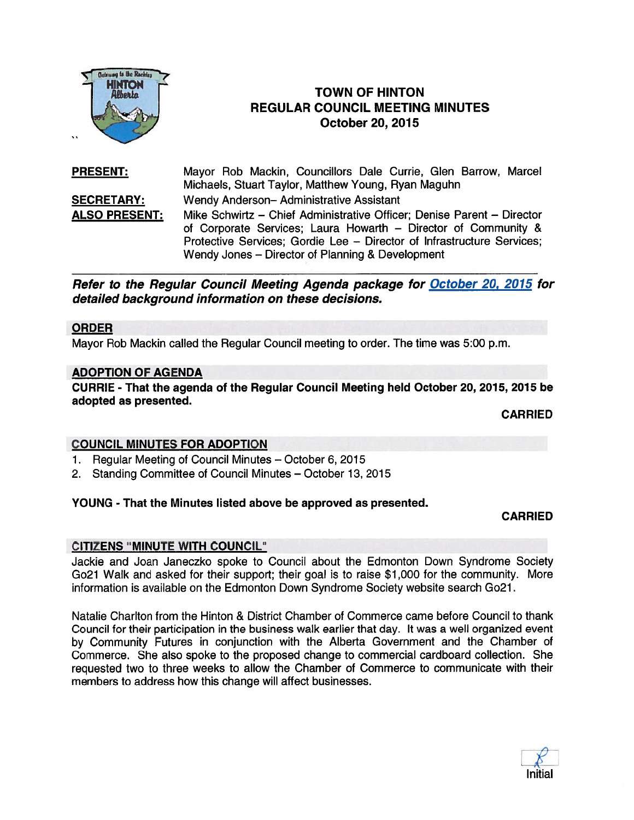

# **HINTON CONSUMER TOWN OF HINTON** REGULAR COUNCIL MEETING MINUTES October 20, 2075

PRESENT: Mayor Rob Mackin, Councillors Dale Currie, Glen Barrow, Marcel Michaels, Stuart Taylor, Matthew Young, Ryan Maguhn SECRETARY: Wendy Anderson— Administrative Assistant ALSO PRESENT: Mike Schwirtz — Chief Administrative Officer; Denise Parent — Director of Corporate Services; Laura Howarth — Director of Community & Protective Services; Gordie Lee — Director of Infrastructure Services; Wendy Jones — Director of Planning & Development

Refer to the Regular Council Meeting Agenda package for October 20, 2015 for detailed background information on these decisions.

### ORDER

Mayor Rob Mackin called the Regular Council meeting to order. The time was 5:00 p.m.

### ADOPTION OF AGENDA

CURRIE - That the agenda of the Regular Council Meeting held October 20, 2015, 2015 be adopted as presented.

CARRIED

### COUNCIL MINUTES FOR ADOPTION

- 1. Regular Meeting of Council Minutes October 6, 2015
- 2. Standing Committee of Council Minutes October 13, 2015

#### YOUNG - That the Minutes listed above be approved as presented.

### CARRIED

### CITIZENS "MINUTE WITH COUNCIL"

Jackie and Joan Janeczko spoke to Council about the Edmonton Down Syndrome Society Go21 Walk and asked for their support; their goal is to raise \$1 ,000 for the community. More information is available on the Edmonton Down Syndrome Society website search Go21.

Natalie Charlton from the Hinton & District Chamber of Commerce came before Council to thank Council for their participation in the business walk earlier that day. It was <sup>a</sup> well organized event by Community Futures in conjunction with the Alberta Government and the Chamber of Commerce. She also spoke to the proposed change to commercial cardboard collection. She requested two to three weeks to allow the Chamber of Commerce to communicate with their members to address how this change will affect businesses.

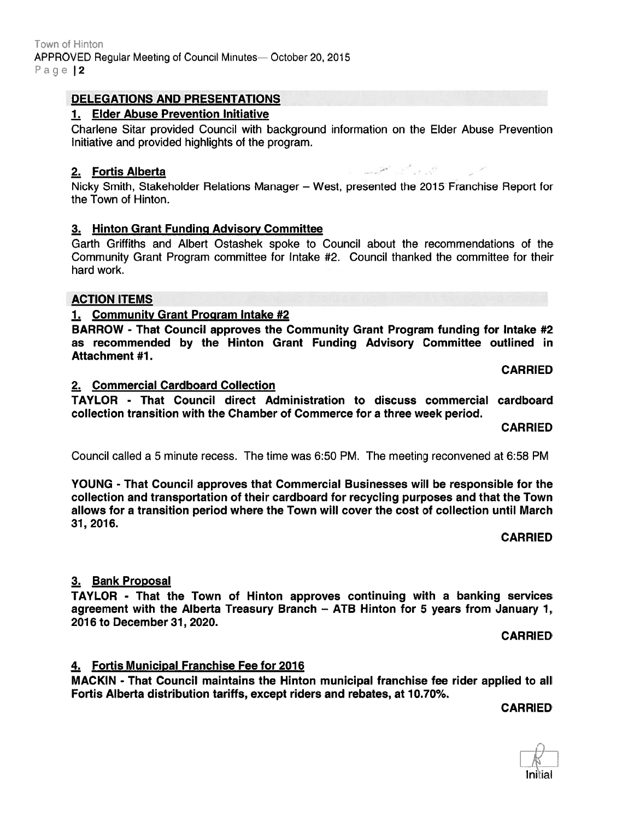### DELEGATIONS AND PRESENTATIONS

### 1. EIder Abuse Prevention Initiative

Charlene Sitar provided Council with background information on the Elder Abuse Prevention Initiative and provided highlights of the program.

### 2. Fortis Alberta ' -

Nicky Smith, Stakeholder Relations Manager — West, presented the 2015 Franchise Report for the Town of Hinton.

### 3. Hinton Grant Funding Advisory Committee

Garth Griffiths and Albert Ostashek spoke to Council about the recommendations of the Community Grant Program committee for Intake #2. Council thanked the committee for their hard work.

### ACTION ITEMS

### 1. Community Grant Program Intake #2

BARROW - That Council approves the Community Grant Program funding for Intake #2 as recommended by the Hinton Grant Funding Advisory Committee outlined in Attachment #1.

CARRIED

#### 2. Commercial Cardboard Collection

TAYLOR - That Council direct Administration to discuss commercial cardboard collection transition with the Chamber of Commerce for <sup>a</sup> three week period.

CARRIED

Council called <sup>a</sup> 5 minute recess. The time was 6:50 PM. The meeting reconvened at 6:58 PM

YOUNG - That Council approves that Commercial Businesses will be responsible for the collection and transportation of their cardboard for recycling purposes and that the Town allows for <sup>a</sup> transition period where the Town will cover the cost of collection until March 31, 2016.

CARRIED

### 3. Bank Proposal

TAYLOR - That the Town of Hinton approves continuing with <sup>a</sup> banking services agreemen<sup>t</sup> with the Alberta Treasury Branch — ATB Hinton for 5 years from January 1, 2016 to December 31, 2020.

CARRIED

### 4. Fortis Municipal Franchise Fee for 2016

MACKIN - That Council maintains the Hinton municipal franchise fee rider applied to all Fortis Alberta distribution tariffs, except riders and rebates, at 10.70%.

CARRIED

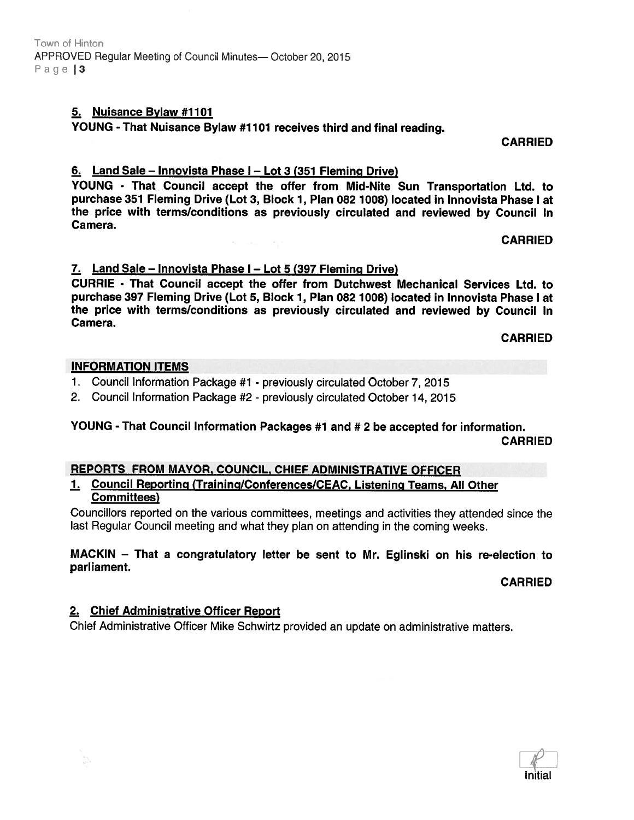### 5. Nuisance Bylaw #1101

YOUNG - That Nuisance Bylaw #1101 receives third and final reading.

CARRIED

### 6. Land Sale — Innovista Phase <sup>I</sup> — Lot <sup>3</sup> (351 Fleming Drive)

YOUNG - That Council accep<sup>t</sup> the offer from Mid-Nite Sun Transportation Ltd. to purchase 351 Fleming Drive (Lot 3, Block 1, Plan 082 1008) located in Innovista Phase I at the price with terms/conditions as previously circulated and reviewed by Council In Camera.

CARRIED

### 7. Land Sale — Innovista Phase <sup>I</sup> — Lot 5 (397 Fleming Drive)

CURRIE - That Council accep<sup>t</sup> the offer from Dutchwest Mechanical Services Ltd. to purchase 397 Fleming Drive (Lot 5, Block 1, Plan 082 7008) located in Innovista Phase I at the price with terms/conditions as previously circulated and reviewed by Council In Camera.

#### CARRIED

### INFORMATION ITEMS

- 1. Council Information Package #1 previously circulated October 7, 2015
- 2. Council Information Package #2 previously circulated October 14, 2015

# YOUNG - That Council Information Packages #1 and # <sup>2</sup> be accepted for information. CARRIED

## REPORTS FROM MAYOR, COUNCIL, CHIEF ADMINISTRATIVE OFFICER

### 1. Council Reporting (Training/Conferences/CEAC, Listening Teams, All Other Committees)

Councillors reported on the various committees, meetings and activities they attended since the last Regular Council meeting and what they <sup>p</sup>lan on attending in the coming weeks.

#### MACKIN — That <sup>a</sup> congratulatory letter be sent to Mr. Eglinski on his re-election to parliament.

CARRIED

### 2. Chief Administrative Officer Report

Chief Administrative Officer Mike Schwirtz provided an update on administrative matters.